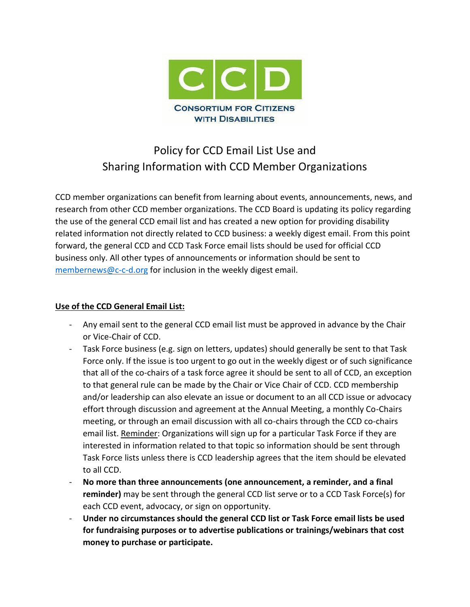

# Policy for CCD Email List Use and Sharing Information with CCD Member Organizations

CCD member organizations can benefit from learning about events, announcements, news, and research from other CCD member organizations. The CCD Board is updating its policy regarding the use of the general CCD email list and has created a new option for providing disability related information not directly related to CCD business: a weekly digest email. From this point forward, the general CCD and CCD Task Force email lists should be used for official CCD business only. All other types of announcements or information should be sent to [membernews@c-c-d.org](mailto:membernews@c-c-d.org) for inclusion in the weekly digest email.

## **Use of the CCD General Email List:**

- Any email sent to the general CCD email list must be approved in advance by the Chair or Vice-Chair of CCD.
- Task Force business (e.g. sign on letters, updates) should generally be sent to that Task Force only. If the issue is too urgent to go out in the weekly digest or of such significance that all of the co-chairs of a task force agree it should be sent to all of CCD, an exception to that general rule can be made by the Chair or Vice Chair of CCD. CCD membership and/or leadership can also elevate an issue or document to an all CCD issue or advocacy effort through discussion and agreement at the Annual Meeting, a monthly Co-Chairs meeting, or through an email discussion with all co-chairs through the CCD co-chairs email list. Reminder: Organizations will sign up for a particular Task Force if they are interested in information related to that topic so information should be sent through Task Force lists unless there is CCD leadership agrees that the item should be elevated to all CCD.
- **No more than three announcements (one announcement, a reminder, and a final reminder)** may be sent through the general CCD list serve or to a CCD Task Force(s) for each CCD event, advocacy, or sign on opportunity.
- **Under no circumstances should the general CCD list or Task Force email lists be used for fundraising purposes or to advertise publications or trainings/webinars that cost money to purchase or participate.**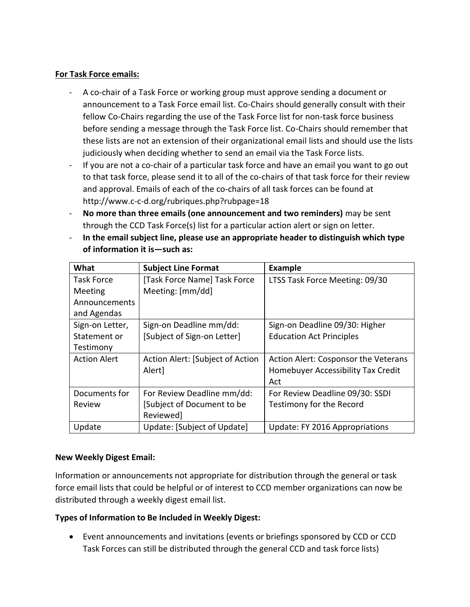## **For Task Force emails:**

- A co-chair of a Task Force or working group must approve sending a document or announcement to a Task Force email list. Co-Chairs should generally consult with their fellow Co-Chairs regarding the use of the Task Force list for non-task force business before sending a message through the Task Force list. Co-Chairs should remember that these lists are not an extension of their organizational email lists and should use the lists judiciously when deciding whether to send an email via the Task Force lists.
- If you are not a co-chair of a particular task force and have an email you want to go out to that task force, please send it to all of the co-chairs of that task force for their review and approval. Emails of each of the co-chairs of all task forces can be found at <http://www.c-c-d.org/rubriques.php?rubpage=18>
- **No more than three emails (one announcement and two reminders)** may be sent through the CCD Task Force(s) list for a particular action alert or sign on letter.
- **In the email subject line, please use an appropriate header to distinguish which type of information it is—such as:**

| What                | <b>Subject Line Format</b>       | <b>Example</b>                       |
|---------------------|----------------------------------|--------------------------------------|
| Task Force          | [Task Force Name] Task Force     | LTSS Task Force Meeting: 09/30       |
| Meeting             | Meeting: [mm/dd]                 |                                      |
| Announcements       |                                  |                                      |
| and Agendas         |                                  |                                      |
| Sign-on Letter,     | Sign-on Deadline mm/dd:          | Sign-on Deadline 09/30: Higher       |
| Statement or        | [Subject of Sign-on Letter]      | <b>Education Act Principles</b>      |
| Testimony           |                                  |                                      |
| <b>Action Alert</b> | Action Alert: [Subject of Action | Action Alert: Cosponsor the Veterans |
|                     | Alert]                           | Homebuyer Accessibility Tax Credit   |
|                     |                                  | Act                                  |
| Documents for       | For Review Deadline mm/dd:       | For Review Deadline 09/30: SSDI      |
| Review              | [Subject of Document to be       | Testimony for the Record             |
|                     | Reviewed]                        |                                      |
| Update              | Update: [Subject of Update]      | Update: FY 2016 Appropriations       |

### **New Weekly Digest Email:**

Information or announcements not appropriate for distribution through the general or task force email lists that could be helpful or of interest to CCD member organizations can now be distributed through a weekly digest email list.

# **Types of Information to Be Included in Weekly Digest:**

• Event announcements and invitations (events or briefings sponsored by CCD or CCD Task Forces can still be distributed through the general CCD and task force lists)